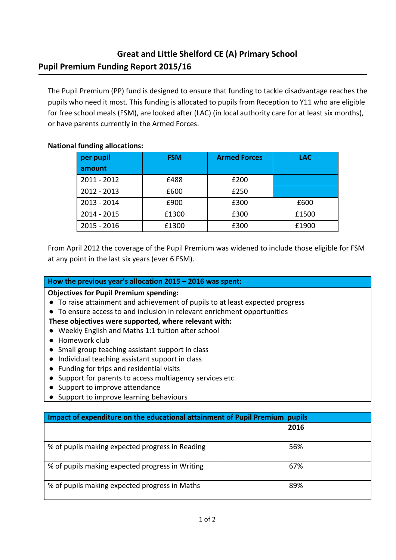# **Great and Little Shelford CE (A) Primary School Pupil Premium Funding Report 2015/16**

The Pupil Premium (PP) fund is designed to ensure that funding to tackle disadvantage reaches the pupils who need it most. This funding is allocated to pupils from Reception to Y11 who are eligible for free school meals (FSM), are looked after (LAC) (in local authority care for at least six months), or have parents currently in the Armed Forces.

## **National funding allocations:**

| per pupil     | <b>FSM</b> | <b>Armed Forces</b> | <b>LAC</b> |
|---------------|------------|---------------------|------------|
| amount        |            |                     |            |
| $2011 - 2012$ | £488       | £200                |            |
| $2012 - 2013$ | £600       | £250                |            |
| $2013 - 2014$ | £900       | £300                | £600       |
| $2014 - 2015$ | £1300      | £300                | £1500      |
| $2015 - 2016$ | £1300      | £300                | £1900      |

From April 2012 the coverage of the Pupil Premium was widened to include those eligible for FSM at any point in the last six years (ever 6 FSM).

### **How the previous year's allocation 2015 – 2016 was spent:**

**Objectives for Pupil Premium spending:**

- To raise attainment and achievement of pupils to at least expected progress
- To ensure access to and inclusion in relevant enrichment opportunities

#### **These objectives were supported, where relevant with:**

- Weekly English and Maths 1:1 tuition after school
- Homework club
- Small group teaching assistant support in class
- Individual teaching assistant support in class
- Funding for trips and residential visits
- Support for parents to access multiagency services etc.
- Support to improve attendance
- Support to improve learning behaviours

| Impact of expenditure on the educational attainment of Pupil Premium pupils |      |  |  |  |
|-----------------------------------------------------------------------------|------|--|--|--|
|                                                                             | 2016 |  |  |  |
| % of pupils making expected progress in Reading                             | 56%  |  |  |  |
| % of pupils making expected progress in Writing                             | 67%  |  |  |  |
| % of pupils making expected progress in Maths                               | 89%  |  |  |  |